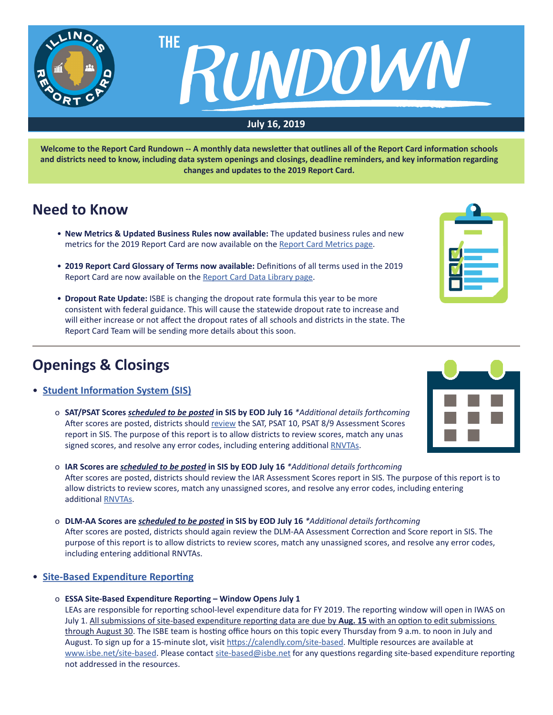

**Welcome to the Report Card Rundown -- A monthly data newsletter that outlines all of the Report Card information schools and districts need to know, including data system openings and closings, deadline reminders, and key information regarding changes and updates to the 2019 Report Card.**

## **Need to Know**

- **New Metrics & Updated Business Rules now available:** The updated business rules and new metrics for the 2019 Report Card are now available on the [Report Card Metrics page.](https://www.isbe.net/Pages/Report-Card-Metrics.aspx)
- **2019 Report Card Glossary of Terms now available:** Definitions of all terms used in the 2019 Report Card are now available on the [Report Card Data Library page](https://www.isbe.net/Pages/Illinois-State-Report-Card-Data.aspx).
- **Dropout Rate Update:** ISBE is changing the dropout rate formula this year to be more consistent with federal guidance. This will cause the statewide dropout rate to increase and will either increase or not affect the dropout rates of all schools and districts in the state. The Report Card Team will be sending more details about this soon.

# **Openings & Closings**

- **[Student Information System \(SIS](https://www.isbe.net/Pages/Student-Information-System.aspx))**
	- o **SAT/PSAT Scores** *scheduled to be posted* **in SIS by EOD July 16** *\*Additional details forthcoming* After scores are posted, districts should [review](https://www.isbe.net/Documents/SAT-AC-Announcement.pdf) the SAT, PSAT 10, PSAT 8/9 Assessment Scores report in SIS. The purpose of this report is to allow districts to review scores, match any unas signed scores, and resolve any error codes, including entering additional [RNVTAs.](https://www.isbe.net/Documents/reason-no-valid-test-attmpt.pdf)
	- o **IAR Scores are** *scheduled to be posted* **in SIS by EOD July 16** *\*Additional details forthcoming* After scores are posted, districts should review the IAR Assessment Scores report in SIS. The purpose of this report is to allow districts to review scores, match any unassigned scores, and resolve any error codes, including entering additional [RNVTAs](https://www.isbe.net/Documents/reason-no-valid-test-attmpt.pdf).
	- o **DLM-AA Scores are** *scheduled to be posted* **in SIS by EOD July 16** *\*Additional details forthcoming* After scores are posted, districts should again review the DLM-AA Assessment Correction and Score report in SIS. The purpose of this report is to allow districts to review scores, match any unassigned scores, and resolve any error codes, including entering additional RNVTAs.

### • **[Site-Based Expenditure Reporting](https://www.isbe.net/site-based)**

o **ESSA Site-Based Expenditure Reporting – Window Opens July 1**

LEAs are responsible for reporting school-level expenditure data for FY 2019. The reporting window will open in IWAS on July 1. All submissions of site-based expenditure reporting data are due by **Aug. 15** with an option to edit submissions through August 30. The ISBE team is hosting office hours on this topic every Thursday from 9 a.m. to noon in July and August. To sign up for a 15-minute slot, visit<https://calendly.com/site-based>. Multiple resources are available at [www.isbe.net/site-based](http://www.isbe.net/site-based). Please contact [site-based@isbe.net](mailto:site-based%40isbe.net?subject=) for any questions regarding site-based expenditure reporting not addressed in the resources.



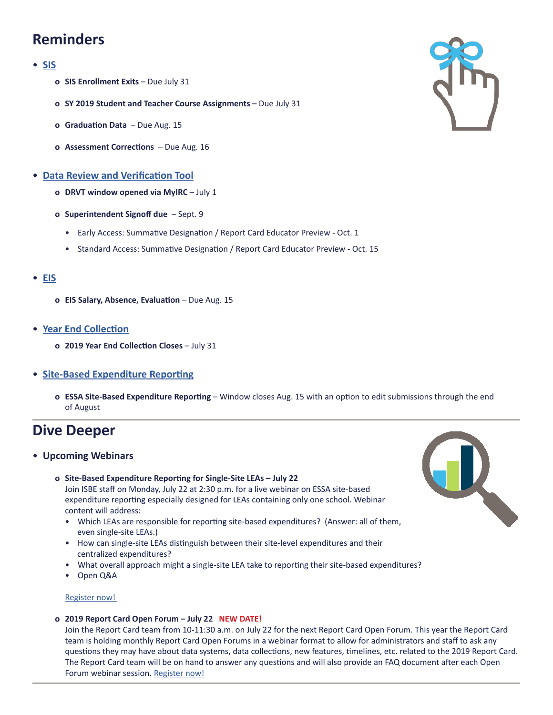# **Reminders**

### • **[SIS](https://www.isbe.net/Pages/Student-Information-System.aspx)**

- **o SIS Enrollment Exits**  Due July 31
- **o SY 2019 Student and Teacher Course Assignments**  Due July 31
- **o Graduation Data**  Due Aug. 15
- **o Assessment Corrections**  Due Aug. 16
- **Data Review and Verification Tool**
	- **o DRVT window opened via MyIRC**  July 1
	- **o Superintendent Signoff due**  Sept. 9
		- Early Access: Summative Designation / Report Card Educator Preview Oct. 1
		- Standard Access: Summative Designation / Report Card Educator Preview Oct. 15

### • **[EIS](https://www.isbe.net/Pages/Employment-Information-System.aspx)**

- **o EIS Salary, Absence, Evaluation** Due Aug. 15
- **[Year End Collection](https://www.isbe.net/Documents/Year-End-data-Collection-Guidance.pdf)**
	- **o 2019 Year End Collection Closes**  July 31

### • **[Site-Based Expenditure Reporting](https://www.isbe.net/site-based)**

 **o ESSA Site-Based Expenditure Reporting** – Window closes Aug. 15 with an option to edit submissions through the end of August

## **Dive Deeper**

### • **Upcoming Webinars**

- **o Site-Based Expenditure Reporting for Single-Site LEAs July 22** Join ISBE staff on Monday, July 22 at 2:30 p.m. for a live webinar on ESSA site-based expenditure reporting especially designed for LEAs containing only one school. Webinar content will address:
	- Which LEAs are responsible for reporting site-based expenditures? (Answer: all of them, even single-site LEAs.)
	- How can single-site LEAs distinguish between their site-level expenditures and their centralized expenditures?
	- What overall approach might a single-site LEA take to reporting their site-based expenditures?
	- Open Q&A

**[Register](https://register.gotowebinar.com/register/4355812470576859650) now!** 

 **o 2019 Report Card Open Forum – July 22 NEW DATE!**

Join the Report Card team from 10-11:30 a.m. on July 22 for the next Report Card Open Forum. This year the Report Card team is holding monthly Report Card Open Forums in a webinar format to allow for administrators and staff to ask any questions they may have about data systems, data collections, new features, timelines, etc. related to the 2019 Report Card. The Report Card team will be on hand to answer any questions and will also provide an FAQ document after each Open Forum webinar session. [Register](https://register.gotowebinar.com/register/5897879726935268354) now!